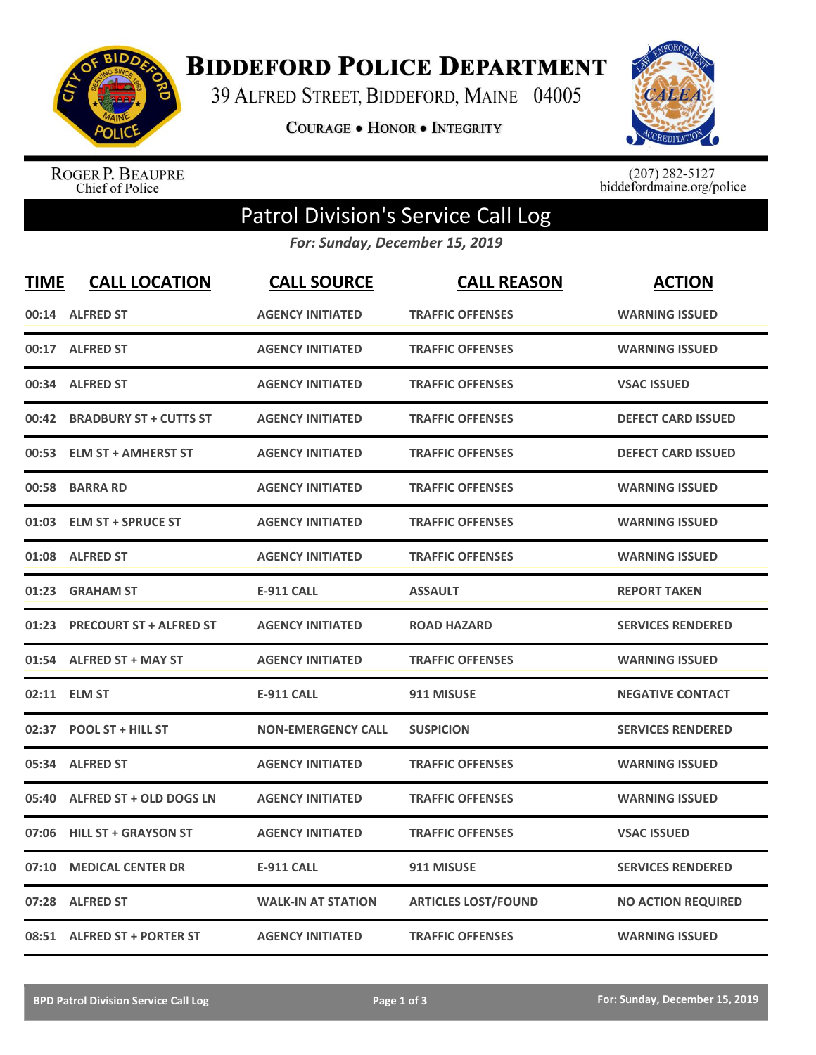

**BIDDEFORD POLICE DEPARTMENT** 

39 ALFRED STREET, BIDDEFORD, MAINE 04005

**COURAGE . HONOR . INTEGRITY** 



ROGER P. BEAUPRE<br>Chief of Police

 $(207)$  282-5127<br>biddefordmaine.org/police

## Patrol Division's Service Call Log

*For: Sunday, December 15, 2019*

| <b>TIME</b> | <b>CALL LOCATION</b>           | <b>CALL SOURCE</b>        | <b>CALL REASON</b>         | <b>ACTION</b>             |
|-------------|--------------------------------|---------------------------|----------------------------|---------------------------|
|             | 00:14 ALFRED ST                | <b>AGENCY INITIATED</b>   | <b>TRAFFIC OFFENSES</b>    | <b>WARNING ISSUED</b>     |
|             | 00:17 ALFRED ST                | <b>AGENCY INITIATED</b>   | <b>TRAFFIC OFFENSES</b>    | <b>WARNING ISSUED</b>     |
|             | 00:34 ALFRED ST                | <b>AGENCY INITIATED</b>   | <b>TRAFFIC OFFENSES</b>    | <b>VSAC ISSUED</b>        |
| 00:42       | <b>BRADBURY ST + CUTTS ST</b>  | <b>AGENCY INITIATED</b>   | <b>TRAFFIC OFFENSES</b>    | <b>DEFECT CARD ISSUED</b> |
|             | 00:53 ELM ST + AMHERST ST      | <b>AGENCY INITIATED</b>   | <b>TRAFFIC OFFENSES</b>    | <b>DEFECT CARD ISSUED</b> |
|             | 00:58 BARRA RD                 | <b>AGENCY INITIATED</b>   | <b>TRAFFIC OFFENSES</b>    | <b>WARNING ISSUED</b>     |
| 01:03       | <b>ELM ST + SPRUCE ST</b>      | <b>AGENCY INITIATED</b>   | <b>TRAFFIC OFFENSES</b>    | <b>WARNING ISSUED</b>     |
| 01:08       | <b>ALFRED ST</b>               | <b>AGENCY INITIATED</b>   | <b>TRAFFIC OFFENSES</b>    | <b>WARNING ISSUED</b>     |
| 01:23       | <b>GRAHAM ST</b>               | <b>E-911 CALL</b>         | <b>ASSAULT</b>             | <b>REPORT TAKEN</b>       |
| 01:23       | <b>PRECOURT ST + ALFRED ST</b> | <b>AGENCY INITIATED</b>   | <b>ROAD HAZARD</b>         | <b>SERVICES RENDERED</b>  |
|             | 01:54 ALFRED ST + MAY ST       | <b>AGENCY INITIATED</b>   | <b>TRAFFIC OFFENSES</b>    | <b>WARNING ISSUED</b>     |
|             | 02:11 ELM ST                   | <b>E-911 CALL</b>         | 911 MISUSE                 | <b>NEGATIVE CONTACT</b>   |
|             | 02:37 POOL ST + HILL ST        | <b>NON-EMERGENCY CALL</b> | <b>SUSPICION</b>           | <b>SERVICES RENDERED</b>  |
| 05:34       | <b>ALFRED ST</b>               | <b>AGENCY INITIATED</b>   | <b>TRAFFIC OFFENSES</b>    | <b>WARNING ISSUED</b>     |
| 05:40       | ALFRED ST + OLD DOGS LN        | <b>AGENCY INITIATED</b>   | <b>TRAFFIC OFFENSES</b>    | <b>WARNING ISSUED</b>     |
| 07:06       | <b>HILL ST + GRAYSON ST</b>    | <b>AGENCY INITIATED</b>   | <b>TRAFFIC OFFENSES</b>    | <b>VSAC ISSUED</b>        |
| 07:10       | <b>MEDICAL CENTER DR</b>       | <b>E-911 CALL</b>         | 911 MISUSE                 | <b>SERVICES RENDERED</b>  |
| 07:28       | <b>ALFRED ST</b>               | <b>WALK-IN AT STATION</b> | <b>ARTICLES LOST/FOUND</b> | <b>NO ACTION REQUIRED</b> |
|             | 08:51 ALFRED ST + PORTER ST    | <b>AGENCY INITIATED</b>   | <b>TRAFFIC OFFENSES</b>    | <b>WARNING ISSUED</b>     |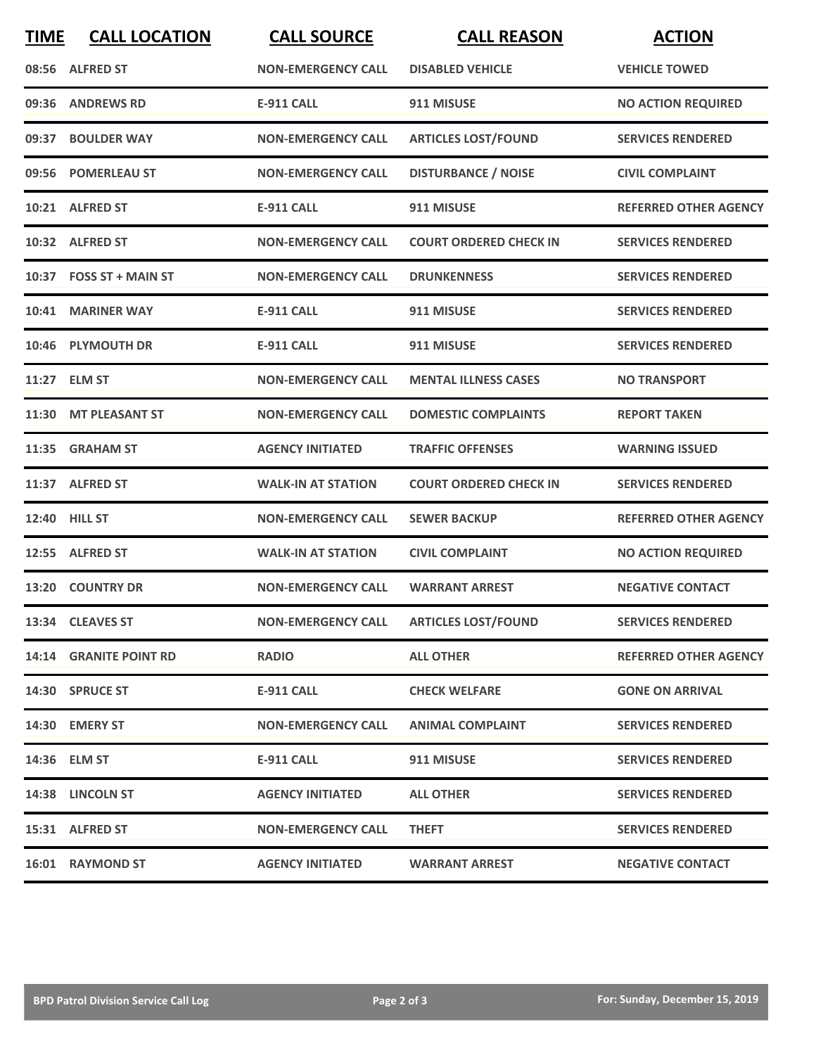| <b>TIME</b> | <b>CALL LOCATION</b>    | <b>CALL SOURCE</b>        | <b>CALL REASON</b>            | <b>ACTION</b>                |
|-------------|-------------------------|---------------------------|-------------------------------|------------------------------|
|             | 08:56 ALFRED ST         | <b>NON-EMERGENCY CALL</b> | <b>DISABLED VEHICLE</b>       | <b>VEHICLE TOWED</b>         |
| 09:36       | <b>ANDREWS RD</b>       | <b>E-911 CALL</b>         | 911 MISUSE                    | <b>NO ACTION REQUIRED</b>    |
| 09:37       | <b>BOULDER WAY</b>      | <b>NON-EMERGENCY CALL</b> | <b>ARTICLES LOST/FOUND</b>    | <b>SERVICES RENDERED</b>     |
|             | 09:56 POMERLEAU ST      | <b>NON-EMERGENCY CALL</b> | <b>DISTURBANCE / NOISE</b>    | <b>CIVIL COMPLAINT</b>       |
|             | 10:21 ALFRED ST         | <b>E-911 CALL</b>         | 911 MISUSE                    | <b>REFERRED OTHER AGENCY</b> |
|             | 10:32 ALFRED ST         | <b>NON-EMERGENCY CALL</b> | <b>COURT ORDERED CHECK IN</b> | <b>SERVICES RENDERED</b>     |
|             | 10:37 FOSS ST + MAIN ST | <b>NON-EMERGENCY CALL</b> | <b>DRUNKENNESS</b>            | <b>SERVICES RENDERED</b>     |
|             | 10:41 MARINER WAY       | <b>E-911 CALL</b>         | 911 MISUSE                    | <b>SERVICES RENDERED</b>     |
|             | 10:46 PLYMOUTH DR       | <b>E-911 CALL</b>         | 911 MISUSE                    | <b>SERVICES RENDERED</b>     |
|             | 11:27 ELM ST            | <b>NON-EMERGENCY CALL</b> | <b>MENTAL ILLNESS CASES</b>   | <b>NO TRANSPORT</b>          |
|             | 11:30 MT PLEASANT ST    | <b>NON-EMERGENCY CALL</b> | <b>DOMESTIC COMPLAINTS</b>    | <b>REPORT TAKEN</b>          |
| 11:35       | <b>GRAHAM ST</b>        | <b>AGENCY INITIATED</b>   | <b>TRAFFIC OFFENSES</b>       | <b>WARNING ISSUED</b>        |
|             | 11:37 ALFRED ST         | <b>WALK-IN AT STATION</b> | <b>COURT ORDERED CHECK IN</b> | <b>SERVICES RENDERED</b>     |
| 12:40       | <b>HILL ST</b>          | <b>NON-EMERGENCY CALL</b> | <b>SEWER BACKUP</b>           | <b>REFERRED OTHER AGENCY</b> |
|             | 12:55 ALFRED ST         | <b>WALK-IN AT STATION</b> | <b>CIVIL COMPLAINT</b>        | <b>NO ACTION REQUIRED</b>    |
|             | 13:20 COUNTRY DR        | <b>NON-EMERGENCY CALL</b> | <b>WARRANT ARREST</b>         | <b>NEGATIVE CONTACT</b>      |
|             | 13:34 CLEAVES ST        | <b>NON-EMERGENCY CALL</b> | <b>ARTICLES LOST/FOUND</b>    | <b>SERVICES RENDERED</b>     |
|             | 14:14 GRANITE POINT RD  | <b>RADIO</b>              | <b>ALL OTHER</b>              | <b>REFERRED OTHER AGENCY</b> |
|             | 14:30 SPRUCE ST         | E-911 CALL                | <b>CHECK WELFARE</b>          | <b>GONE ON ARRIVAL</b>       |
|             | 14:30 EMERY ST          | <b>NON-EMERGENCY CALL</b> | <b>ANIMAL COMPLAINT</b>       | <b>SERVICES RENDERED</b>     |
|             | 14:36 ELM ST            | E-911 CALL                | 911 MISUSE                    | <b>SERVICES RENDERED</b>     |
|             | 14:38 LINCOLN ST        | <b>AGENCY INITIATED</b>   | <b>ALL OTHER</b>              | <b>SERVICES RENDERED</b>     |
|             | 15:31 ALFRED ST         | <b>NON-EMERGENCY CALL</b> | <b>THEFT</b>                  | <b>SERVICES RENDERED</b>     |
|             | 16:01 RAYMOND ST        | <b>AGENCY INITIATED</b>   | <b>WARRANT ARREST</b>         | <b>NEGATIVE CONTACT</b>      |